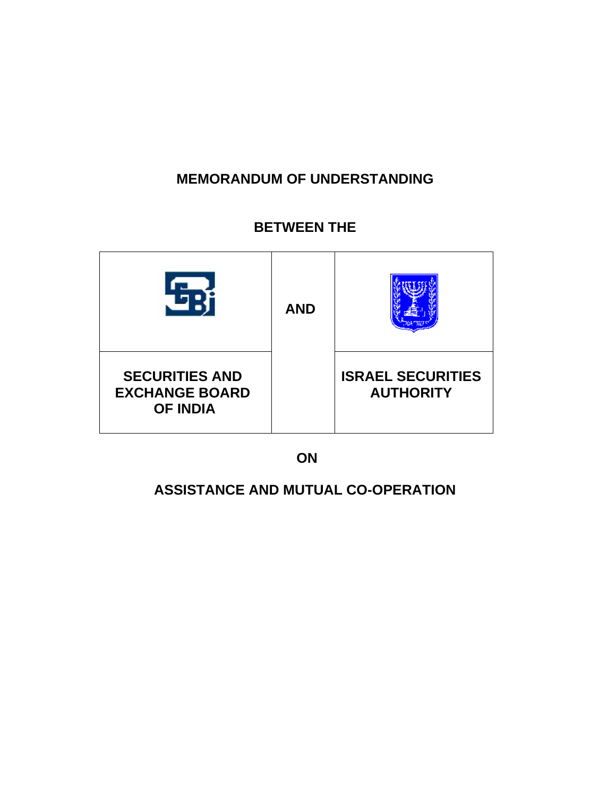# **MEMORANDUM OF UNDERSTANDING**

## **BETWEEN THE**



 **ON** 

## **ASSISTANCE AND MUTUAL CO-OPERATION**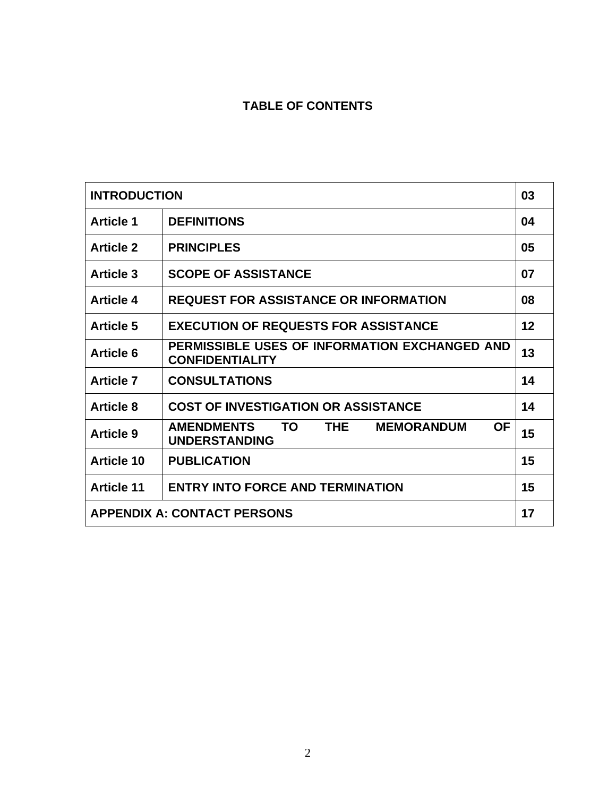## **TABLE OF CONTENTS**

| <b>INTRODUCTION</b>                |                                                                                           | 03 |
|------------------------------------|-------------------------------------------------------------------------------------------|----|
| <b>Article 1</b>                   | <b>DEFINITIONS</b>                                                                        | 04 |
| <b>Article 2</b>                   | <b>PRINCIPLES</b>                                                                         | 05 |
| <b>Article 3</b>                   | <b>SCOPE OF ASSISTANCE</b>                                                                | 07 |
| <b>Article 4</b>                   | <b>REQUEST FOR ASSISTANCE OR INFORMATION</b>                                              | 08 |
| <b>Article 5</b>                   | <b>EXECUTION OF REQUESTS FOR ASSISTANCE</b>                                               | 12 |
| <b>Article 6</b>                   | PERMISSIBLE USES OF INFORMATION EXCHANGED AND<br><b>CONFIDENTIALITY</b>                   | 13 |
| <b>Article 7</b>                   | <b>CONSULTATIONS</b>                                                                      | 14 |
| <b>Article 8</b>                   | <b>COST OF INVESTIGATION OR ASSISTANCE</b>                                                | 14 |
| <b>Article 9</b>                   | <b>AMENDMENTS</b><br><b>OF</b><br>TO.<br>THE<br><b>MEMORANDUM</b><br><b>UNDERSTANDING</b> | 15 |
| <b>Article 10</b>                  | <b>PUBLICATION</b>                                                                        | 15 |
| <b>Article 11</b>                  | <b>ENTRY INTO FORCE AND TERMINATION</b>                                                   | 15 |
| <b>APPENDIX A: CONTACT PERSONS</b> |                                                                                           | 17 |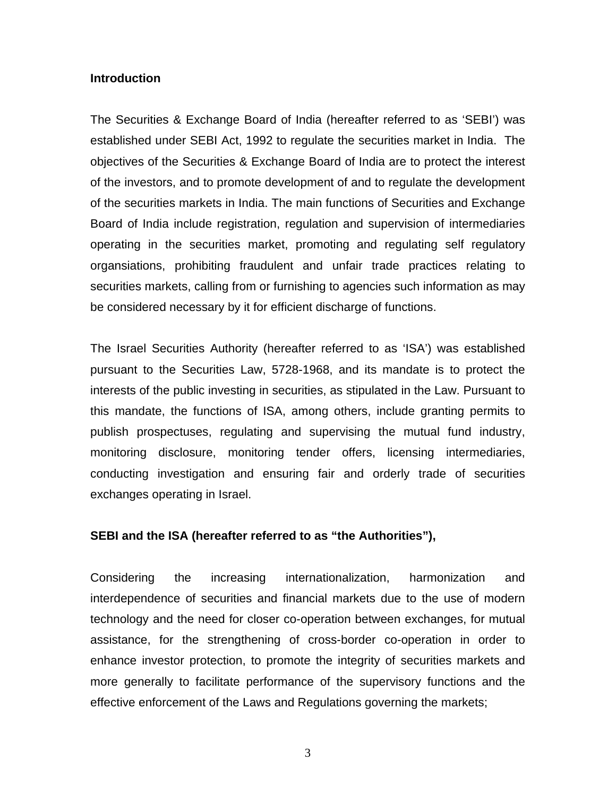#### **Introduction**

The Securities & Exchange Board of India (hereafter referred to as 'SEBI') was established under SEBI Act, 1992 to regulate the securities market in India. The objectives of the Securities & Exchange Board of India are to protect the interest of the investors, and to promote development of and to regulate the development of the securities markets in India. The main functions of Securities and Exchange Board of India include registration, regulation and supervision of intermediaries operating in the securities market, promoting and regulating self regulatory organsiations, prohibiting fraudulent and unfair trade practices relating to securities markets, calling from or furnishing to agencies such information as may be considered necessary by it for efficient discharge of functions.

The Israel Securities Authority (hereafter referred to as 'ISA') was established pursuant to the Securities Law, 5728-1968, and its mandate is to protect the interests of the public investing in securities, as stipulated in the Law. Pursuant to this mandate, the functions of ISA, among others, include granting permits to publish prospectuses, regulating and supervising the mutual fund industry, monitoring disclosure, monitoring tender offers, licensing intermediaries, conducting investigation and ensuring fair and orderly trade of securities exchanges operating in Israel.

#### **SEBI and the ISA (hereafter referred to as "the Authorities"),**

Considering the increasing internationalization, harmonization and interdependence of securities and financial markets due to the use of modern technology and the need for closer co-operation between exchanges, for mutual assistance, for the strengthening of cross-border co-operation in order to enhance investor protection, to promote the integrity of securities markets and more generally to facilitate performance of the supervisory functions and the effective enforcement of the Laws and Regulations governing the markets;

3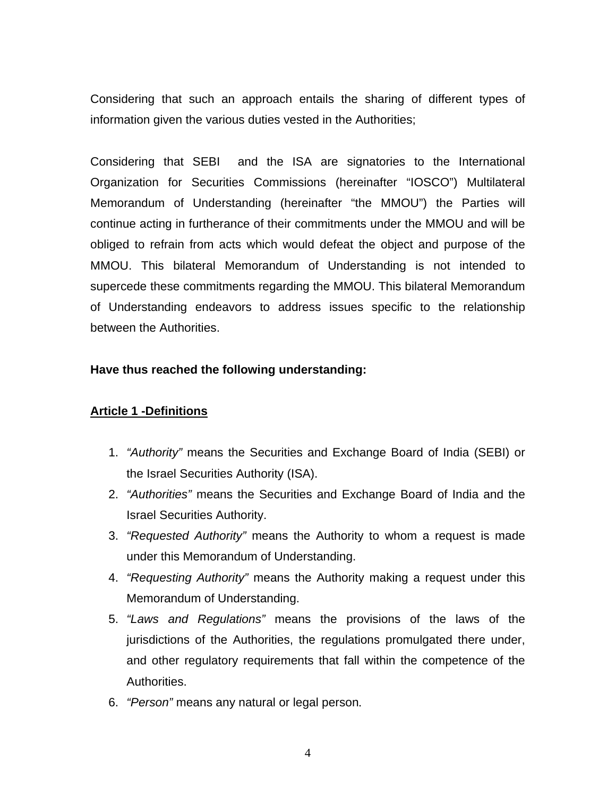Considering that such an approach entails the sharing of different types of information given the various duties vested in the Authorities;

Considering that SEBI and the ISA are signatories to the International Organization for Securities Commissions (hereinafter "IOSCO") Multilateral Memorandum of Understanding (hereinafter "the MMOU") the Parties will continue acting in furtherance of their commitments under the MMOU and will be obliged to refrain from acts which would defeat the object and purpose of the MMOU. This bilateral Memorandum of Understanding is not intended to supercede these commitments regarding the MMOU. This bilateral Memorandum of Understanding endeavors to address issues specific to the relationship between the Authorities.

#### **Have thus reached the following understanding:**

#### **Article 1 -Definitions**

- 1. *"Authority"* means the Securities and Exchange Board of India (SEBI) or the Israel Securities Authority (ISA).
- 2. *"Authorities"* means the Securities and Exchange Board of India and the Israel Securities Authority.
- 3. *"Requested Authority"* means the Authority to whom a request is made under this Memorandum of Understanding.
- 4. *"Requesting Authority"* means the Authority making a request under this Memorandum of Understanding.
- 5. *"Laws and Regulations"* means the provisions of the laws of the jurisdictions of the Authorities, the regulations promulgated there under, and other regulatory requirements that fall within the competence of the Authorities.
- 6. *"Person"* means any natural or legal person.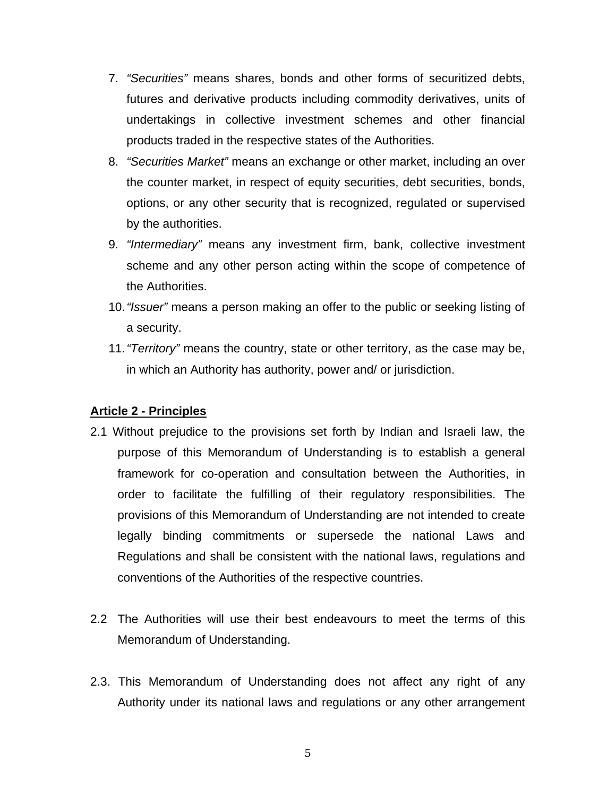- 7. *"Securities"* means shares, bonds and other forms of securitized debts, futures and derivative products including commodity derivatives, units of undertakings in collective investment schemes and other financial products traded in the respective states of the Authorities.
- 8. *"Securities Market"* means an exchange or other market, including an over the counter market, in respect of equity securities, debt securities, bonds, options, or any other security that is recognized, regulated or supervised by the authorities.
- 9. *"Intermediary"* means any investment firm, bank, collective investment scheme and any other person acting within the scope of competence of the Authorities.
- 10. *"Issuer"* means a person making an offer to the public or seeking listing of a security.
- 11. *"Territory"* means the country, state or other territory, as the case may be, in which an Authority has authority, power and/ or jurisdiction.

#### **Article 2 - Principles**

- 2.1 Without prejudice to the provisions set forth by Indian and Israeli law, the purpose of this Memorandum of Understanding is to establish a general framework for co-operation and consultation between the Authorities, in order to facilitate the fulfilling of their regulatory responsibilities. The provisions of this Memorandum of Understanding are not intended to create legally binding commitments or supersede the national Laws and Regulations and shall be consistent with the national laws, regulations and conventions of the Authorities of the respective countries.
- 2.2 The Authorities will use their best endeavours to meet the terms of this Memorandum of Understanding.
- 2.3. This Memorandum of Understanding does not affect any right of any Authority under its national laws and regulations or any other arrangement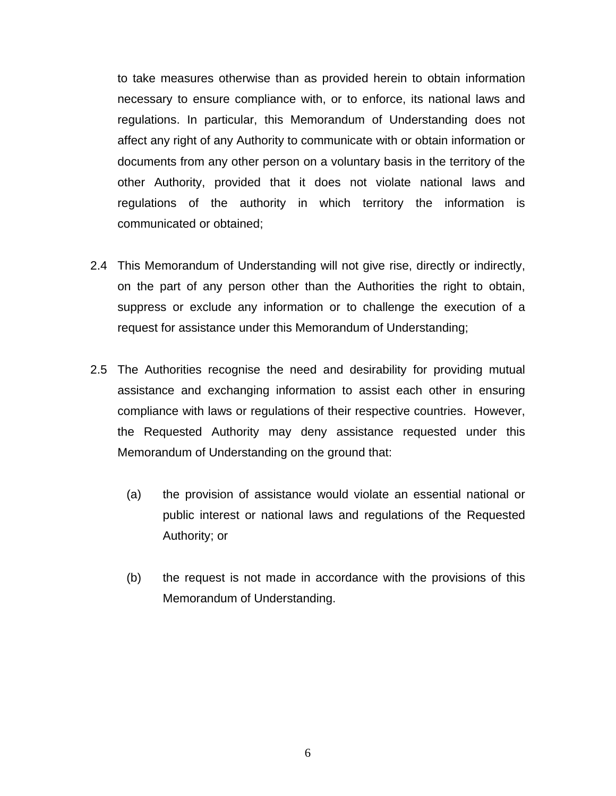to take measures otherwise than as provided herein to obtain information necessary to ensure compliance with, or to enforce, its national laws and regulations. In particular, this Memorandum of Understanding does not affect any right of any Authority to communicate with or obtain information or documents from any other person on a voluntary basis in the territory of the other Authority, provided that it does not violate national laws and regulations of the authority in which territory the information is communicated or obtained;

- 2.4 This Memorandum of Understanding will not give rise, directly or indirectly, on the part of any person other than the Authorities the right to obtain, suppress or exclude any information or to challenge the execution of a request for assistance under this Memorandum of Understanding;
- 2.5 The Authorities recognise the need and desirability for providing mutual assistance and exchanging information to assist each other in ensuring compliance with laws or regulations of their respective countries. However, the Requested Authority may deny assistance requested under this Memorandum of Understanding on the ground that:
	- (a) the provision of assistance would violate an essential national or public interest or national laws and regulations of the Requested Authority; or
	- (b) the request is not made in accordance with the provisions of this Memorandum of Understanding.

6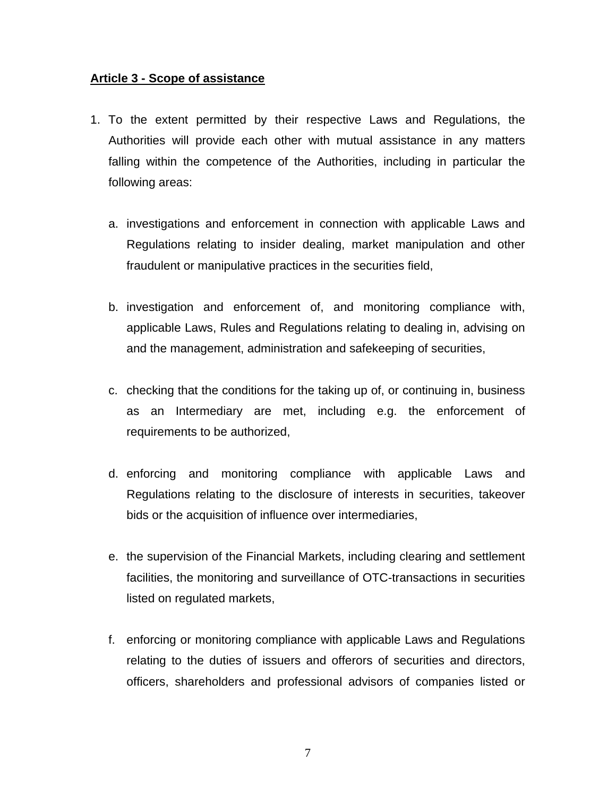#### **Article 3 - Scope of assistance**

- 1. To the extent permitted by their respective Laws and Regulations, the Authorities will provide each other with mutual assistance in any matters falling within the competence of the Authorities, including in particular the following areas:
	- a. investigations and enforcement in connection with applicable Laws and Regulations relating to insider dealing, market manipulation and other fraudulent or manipulative practices in the securities field,
	- b. investigation and enforcement of, and monitoring compliance with, applicable Laws, Rules and Regulations relating to dealing in, advising on and the management, administration and safekeeping of securities,
	- c. checking that the conditions for the taking up of, or continuing in, business as an Intermediary are met, including e.g. the enforcement of requirements to be authorized,
	- d. enforcing and monitoring compliance with applicable Laws and Regulations relating to the disclosure of interests in securities, takeover bids or the acquisition of influence over intermediaries,
	- e. the supervision of the Financial Markets, including clearing and settlement facilities, the monitoring and surveillance of OTC-transactions in securities listed on regulated markets,
	- f. enforcing or monitoring compliance with applicable Laws and Regulations relating to the duties of issuers and offerors of securities and directors, officers, shareholders and professional advisors of companies listed or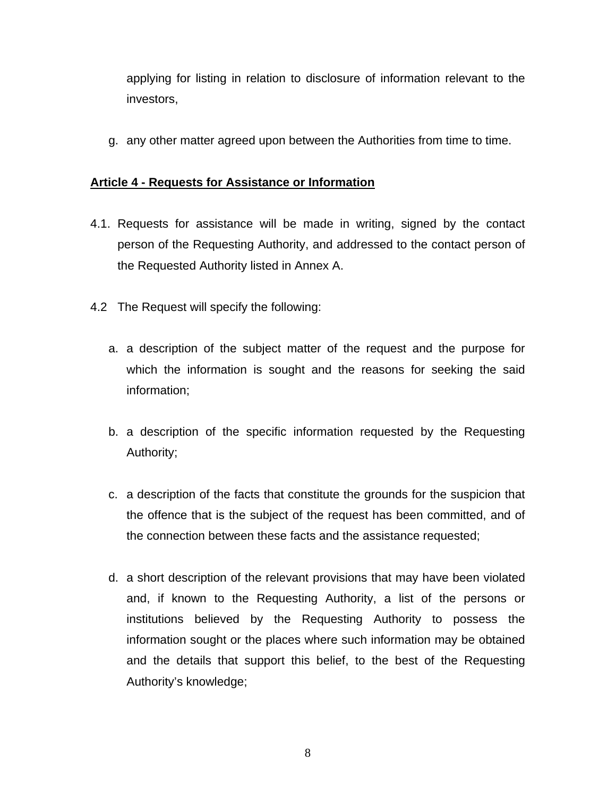applying for listing in relation to disclosure of information relevant to the investors,

g. any other matter agreed upon between the Authorities from time to time.

### **Article 4 - Requests for Assistance or Information**

- 4.1. Requests for assistance will be made in writing, signed by the contact person of the Requesting Authority, and addressed to the contact person of the Requested Authority listed in Annex A.
- 4.2 The Request will specify the following:
	- a. a description of the subject matter of the request and the purpose for which the information is sought and the reasons for seeking the said information;
	- b. a description of the specific information requested by the Requesting Authority;
	- c. a description of the facts that constitute the grounds for the suspicion that the offence that is the subject of the request has been committed, and of the connection between these facts and the assistance requested;
	- d. a short description of the relevant provisions that may have been violated and, if known to the Requesting Authority, a list of the persons or institutions believed by the Requesting Authority to possess the information sought or the places where such information may be obtained and the details that support this belief, to the best of the Requesting Authority's knowledge;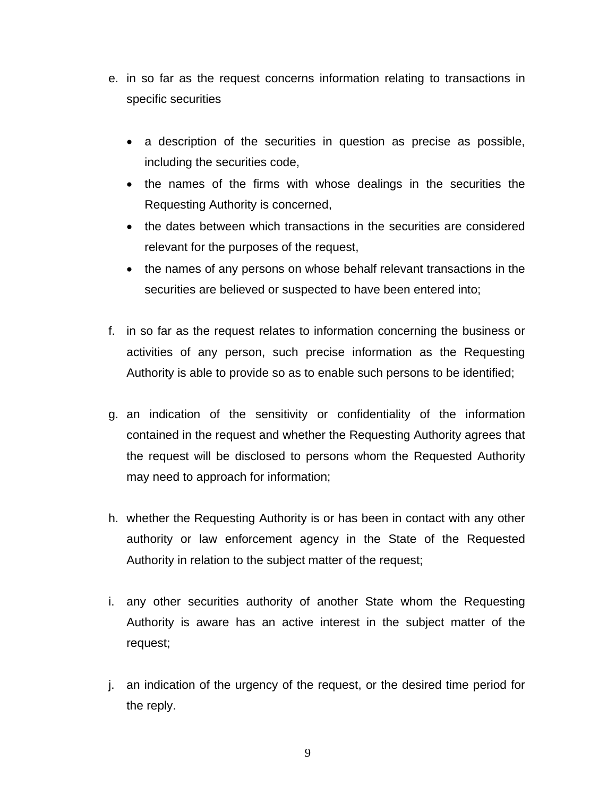- e. in so far as the request concerns information relating to transactions in specific securities
	- a description of the securities in question as precise as possible, including the securities code,
	- the names of the firms with whose dealings in the securities the Requesting Authority is concerned,
	- the dates between which transactions in the securities are considered relevant for the purposes of the request,
	- the names of any persons on whose behalf relevant transactions in the securities are believed or suspected to have been entered into;
- f. in so far as the request relates to information concerning the business or activities of any person, such precise information as the Requesting Authority is able to provide so as to enable such persons to be identified;
- g. an indication of the sensitivity or confidentiality of the information contained in the request and whether the Requesting Authority agrees that the request will be disclosed to persons whom the Requested Authority may need to approach for information;
- h. whether the Requesting Authority is or has been in contact with any other authority or law enforcement agency in the State of the Requested Authority in relation to the subject matter of the request;
- i. any other securities authority of another State whom the Requesting Authority is aware has an active interest in the subject matter of the request;
- j. an indication of the urgency of the request, or the desired time period for the reply.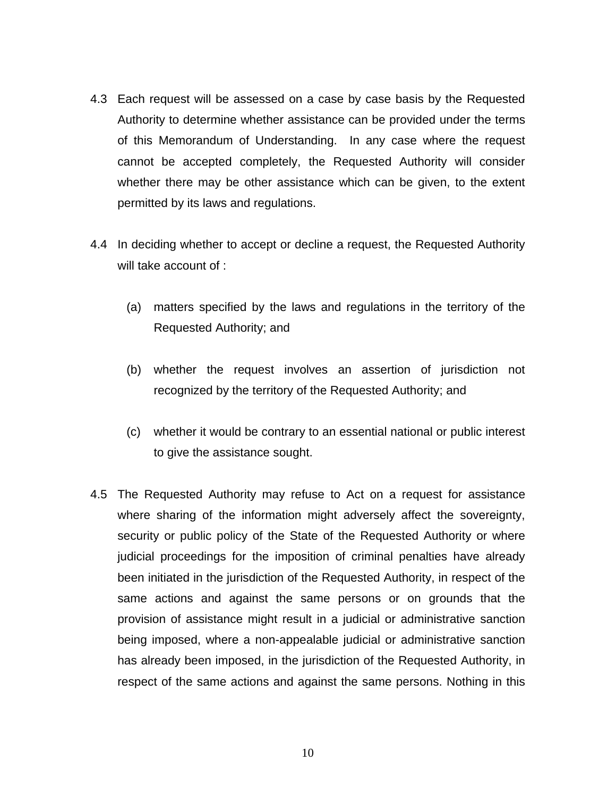- 4.3 Each request will be assessed on a case by case basis by the Requested Authority to determine whether assistance can be provided under the terms of this Memorandum of Understanding. In any case where the request cannot be accepted completely, the Requested Authority will consider whether there may be other assistance which can be given, to the extent permitted by its laws and regulations.
- 4.4 In deciding whether to accept or decline a request, the Requested Authority will take account of :
	- (a) matters specified by the laws and regulations in the territory of the Requested Authority; and
	- (b) whether the request involves an assertion of jurisdiction not recognized by the territory of the Requested Authority; and
	- (c) whether it would be contrary to an essential national or public interest to give the assistance sought.
- 4.5 The Requested Authority may refuse to Act on a request for assistance where sharing of the information might adversely affect the sovereignty, security or public policy of the State of the Requested Authority or where judicial proceedings for the imposition of criminal penalties have already been initiated in the jurisdiction of the Requested Authority, in respect of the same actions and against the same persons or on grounds that the provision of assistance might result in a judicial or administrative sanction being imposed, where a non-appealable judicial or administrative sanction has already been imposed, in the jurisdiction of the Requested Authority, in respect of the same actions and against the same persons. Nothing in this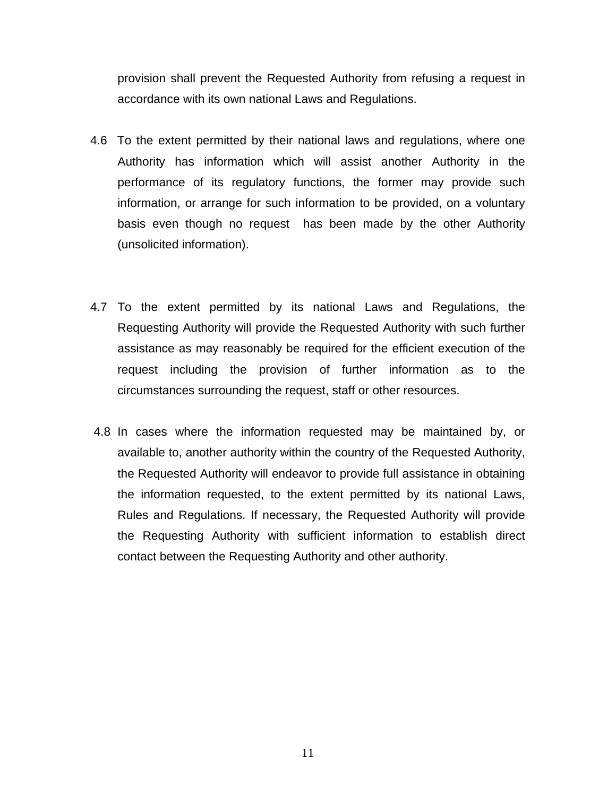provision shall prevent the Requested Authority from refusing a request in accordance with its own national Laws and Regulations.

- 4.6 To the extent permitted by their national laws and regulations, where one Authority has information which will assist another Authority in the performance of its regulatory functions, the former may provide such information, or arrange for such information to be provided, on a voluntary basis even though no request has been made by the other Authority (unsolicited information).
- 4.7 To the extent permitted by its national Laws and Regulations, the Requesting Authority will provide the Requested Authority with such further assistance as may reasonably be required for the efficient execution of the request including the provision of further information as to the circumstances surrounding the request, staff or other resources.
- 4.8 In cases where the information requested may be maintained by, or available to, another authority within the country of the Requested Authority, the Requested Authority will endeavor to provide full assistance in obtaining the information requested, to the extent permitted by its national Laws, Rules and Regulations. If necessary, the Requested Authority will provide the Requesting Authority with sufficient information to establish direct contact between the Requesting Authority and other authority.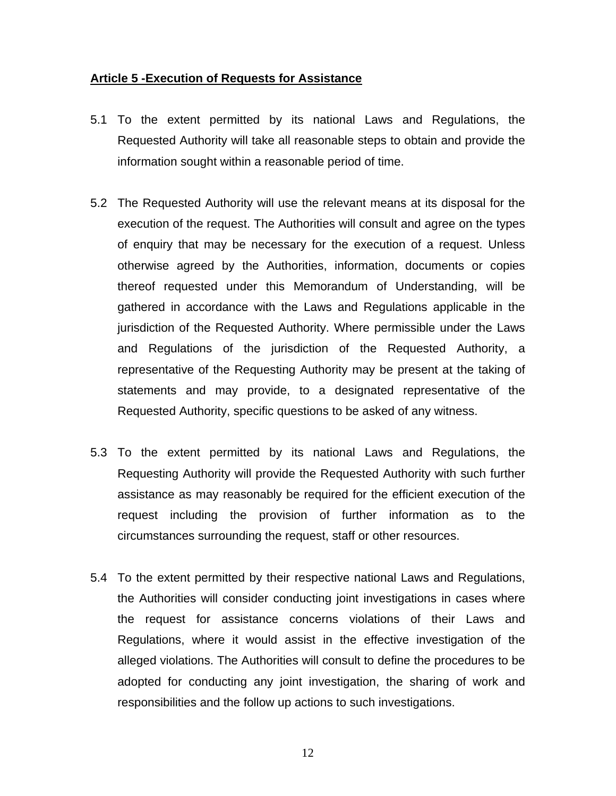#### **Article 5 -Execution of Requests for Assistance**

- 5.1 To the extent permitted by its national Laws and Regulations, the Requested Authority will take all reasonable steps to obtain and provide the information sought within a reasonable period of time.
- 5.2 The Requested Authority will use the relevant means at its disposal for the execution of the request. The Authorities will consult and agree on the types of enquiry that may be necessary for the execution of a request. Unless otherwise agreed by the Authorities, information, documents or copies thereof requested under this Memorandum of Understanding, will be gathered in accordance with the Laws and Regulations applicable in the jurisdiction of the Requested Authority. Where permissible under the Laws and Regulations of the jurisdiction of the Requested Authority, a representative of the Requesting Authority may be present at the taking of statements and may provide, to a designated representative of the Requested Authority, specific questions to be asked of any witness.
- 5.3 To the extent permitted by its national Laws and Regulations, the Requesting Authority will provide the Requested Authority with such further assistance as may reasonably be required for the efficient execution of the request including the provision of further information as to the circumstances surrounding the request, staff or other resources.
- 5.4 To the extent permitted by their respective national Laws and Regulations, the Authorities will consider conducting joint investigations in cases where the request for assistance concerns violations of their Laws and Regulations, where it would assist in the effective investigation of the alleged violations. The Authorities will consult to define the procedures to be adopted for conducting any joint investigation, the sharing of work and responsibilities and the follow up actions to such investigations.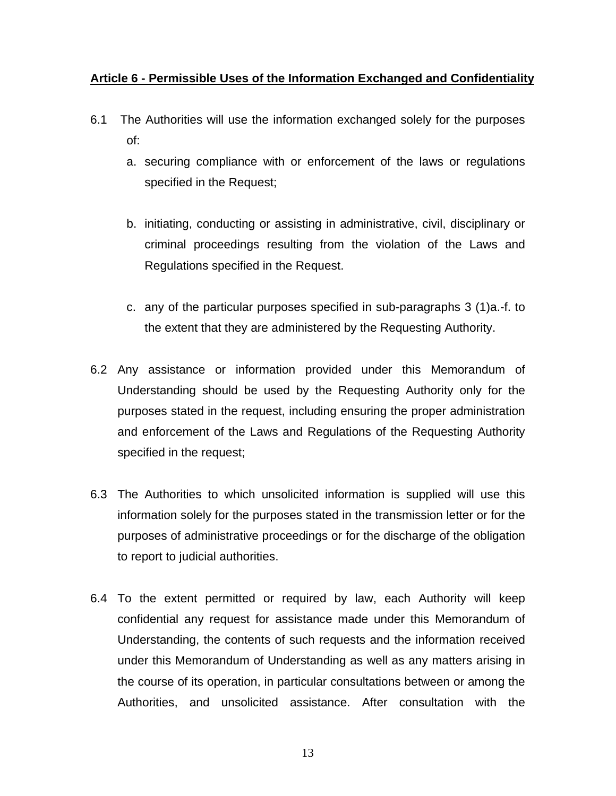### **Article 6 - Permissible Uses of the Information Exchanged and Confidentiality**

- 6.1 The Authorities will use the information exchanged solely for the purposes of:
	- a. securing compliance with or enforcement of the laws or regulations specified in the Request;
	- b. initiating, conducting or assisting in administrative, civil, disciplinary or criminal proceedings resulting from the violation of the Laws and Regulations specified in the Request.
	- c. any of the particular purposes specified in sub-paragraphs 3 (1)a.-f. to the extent that they are administered by the Requesting Authority.
- 6.2 Any assistance or information provided under this Memorandum of Understanding should be used by the Requesting Authority only for the purposes stated in the request, including ensuring the proper administration and enforcement of the Laws and Regulations of the Requesting Authority specified in the request;
- 6.3 The Authorities to which unsolicited information is supplied will use this information solely for the purposes stated in the transmission letter or for the purposes of administrative proceedings or for the discharge of the obligation to report to judicial authorities.
- 6.4 To the extent permitted or required by law, each Authority will keep confidential any request for assistance made under this Memorandum of Understanding, the contents of such requests and the information received under this Memorandum of Understanding as well as any matters arising in the course of its operation, in particular consultations between or among the Authorities, and unsolicited assistance. After consultation with the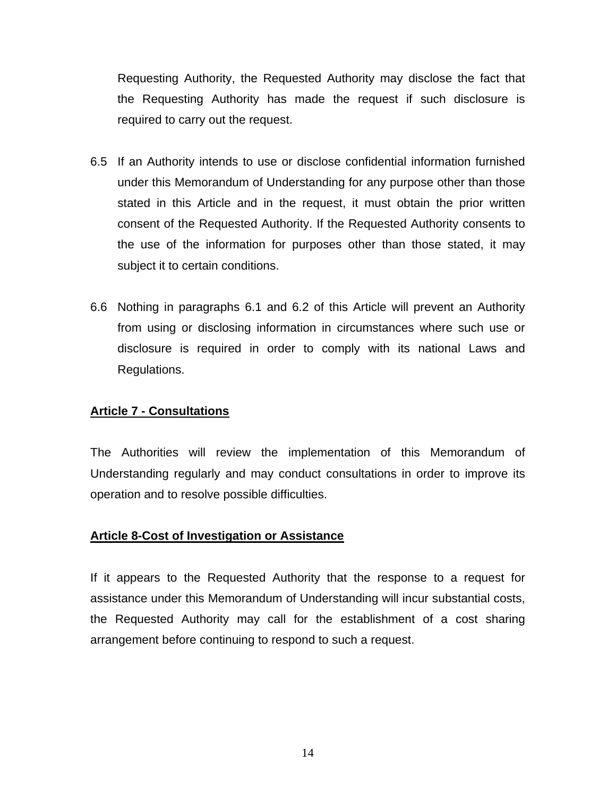Requesting Authority, the Requested Authority may disclose the fact that the Requesting Authority has made the request if such disclosure is required to carry out the request.

- 6.5 If an Authority intends to use or disclose confidential information furnished under this Memorandum of Understanding for any purpose other than those stated in this Article and in the request, it must obtain the prior written consent of the Requested Authority. If the Requested Authority consents to the use of the information for purposes other than those stated, it may subject it to certain conditions.
- 6.6 Nothing in paragraphs 6.1 and 6.2 of this Article will prevent an Authority from using or disclosing information in circumstances where such use or disclosure is required in order to comply with its national Laws and Regulations.

#### **Article 7 - Consultations**

The Authorities will review the implementation of this Memorandum of Understanding regularly and may conduct consultations in order to improve its operation and to resolve possible difficulties.

#### **Article 8-Cost of Investigation or Assistance**

If it appears to the Requested Authority that the response to a request for assistance under this Memorandum of Understanding will incur substantial costs, the Requested Authority may call for the establishment of a cost sharing arrangement before continuing to respond to such a request.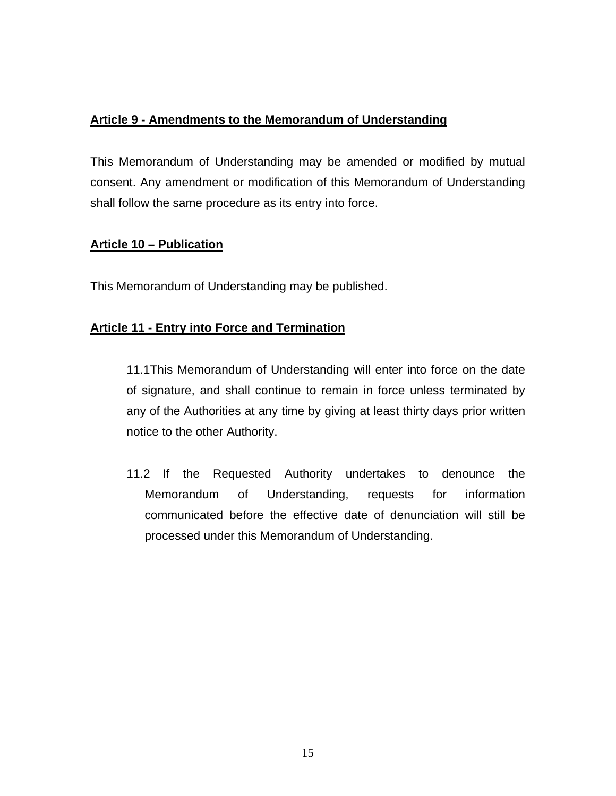## **Article 9 - Amendments to the Memorandum of Understanding**

This Memorandum of Understanding may be amended or modified by mutual consent. Any amendment or modification of this Memorandum of Understanding shall follow the same procedure as its entry into force.

### **Article 10 – Publication**

This Memorandum of Understanding may be published.

### **Article 11 - Entry into Force and Termination**

11.1This Memorandum of Understanding will enter into force on the date of signature, and shall continue to remain in force unless terminated by any of the Authorities at any time by giving at least thirty days prior written notice to the other Authority.

11.2 If the Requested Authority undertakes to denounce the Memorandum of Understanding, requests for information communicated before the effective date of denunciation will still be processed under this Memorandum of Understanding.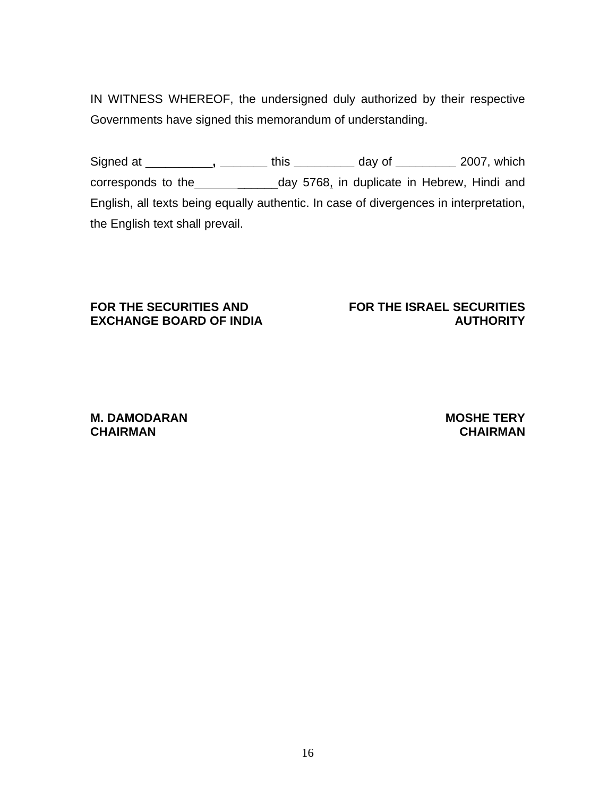IN WITNESS WHEREOF, the undersigned duly authorized by their respective Governments have signed this memorandum of understanding.

Signed at \_\_\_\_\_\_\_\_\_\_**, \_\_\_\_\_\_\_** this **\_\_\_\_\_\_\_\_\_** day of **\_\_\_\_\_\_\_\_\_** 2007, which corresponds to the \_\_\_\_\_\_\_\_\_\_\_\_\_\_\_\_\_day 5768, in duplicate in Hebrew, Hindi and English, all texts being equally authentic. In case of divergences in interpretation, the English text shall prevail.

#### **FOR THE SECURITIES AND EXCHANGE BOARD OF INDIA**

#### **FOR THE ISRAEL SECURITIES AUTHORITY**

**M. DAMODARAN CHAIRMAN** 

#### **MOSHE TERY CHAIRMAN**